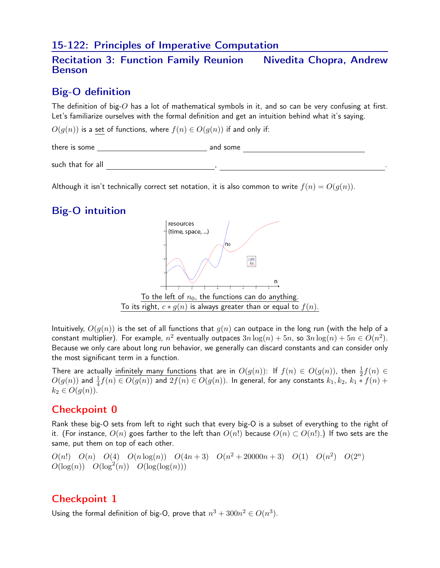#### 15-122: Principles of Imperative Computation

#### Recitation 3: Function Family Reunion Nivedita Chopra, Andrew Benson

## Big-O definition

The definition of big- $O$  has a lot of mathematical symbols in it, and so can be very confusing at first. Let's familiarize ourselves with the formal definition and get an intuition behind what it's saying.

 $O(q(n))$  is a set of functions, where  $f(n) \in O(q(n))$  if and only if:

there is some settled and some and some and some and some such that for all  $\qquad \qquad \qquad$ 

Although it isn't technically correct set notation, it is also common to write  $f(n) = O(q(n))$ .

# Big-O intuition



Intuitively,  $O(q(n))$  is the set of all functions that  $q(n)$  can outpace in the long run (with the help of a constant multiplier). For example,  $n^2$  eventually outpaces  $3n\log(n) + 5n$ , so  $3n\log(n) + 5n \in O(n^2)$ . Because we only care about long run behavior, we generally can discard constants and can consider only the most significant term in a function.

There are actually infinitely many functions that are in  $O(g(n))$ : If  $f(n) \in O(g(n))$ , then  $\frac{1}{2}f(n) \in$  $O(g(n))$  and  $\frac{1}{4}f(n) \in O(g(n))$  and  $2f(n) \in O(g(n))$ . In general, for any constants  $k_1,k_2, \ k_1 \ast f(n) +$  $k_2 \in O(g(n)).$ 

## Checkpoint 0

Rank these big-O sets from left to right such that every big-O is a subset of everything to the right of it. (For instance,  $O(n)$  goes farther to the left than  $O(n!)$  because  $O(n) \subset O(n!)$ .) If two sets are the same, put them on top of each other.

 $O(n!)$   $O(n)$   $O(4)$   $O(n \log(n))$   $O(4n+3)$   $O(n^2+20000n+3)$   $O(1)$   $O(n^2)$   $O(2^n)$  $O(\log(n))$   $O(\log^2(n))$   $O(\log(\log(n)))$ 

## Checkpoint 1

Using the formal definition of big-O, prove that  $n^3 + 300n^2 \in O(n^3)$ .